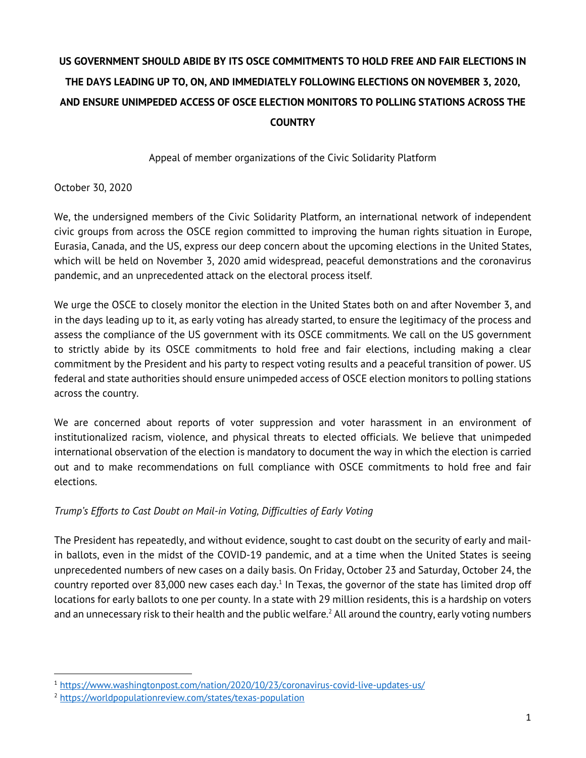# **US GOVERNMENT SHOULD ABIDE BY ITS OSCE COMMITMENTS TO HOLD FREE AND FAIR ELECTIONS IN THE DAYS LEADING UP TO, ON, AND IMMEDIATELY FOLLOWING ELECTIONS ON NOVEMBER 3, 2020, AND ENSURE UNIMPEDED ACCESS OF OSCE ELECTION MONITORS TO POLLING STATIONS ACROSS THE COUNTRY**

Appeal of member organizations of the Civic Solidarity Platform

October 30, 2020

We, the undersigned members of the Civic Solidarity Platform, an international network of independent civic groups from across the OSCE region committed to improving the human rights situation in Europe, Eurasia, Canada, and the US, express our deep concern about the upcoming elections in the United States, which will be held on November 3, 2020 amid widespread, peaceful demonstrations and the coronavirus pandemic, and an unprecedented attack on the electoral process itself.

We urge the OSCE to closely monitor the election in the United States both on and after November 3, and in the days leading up to it, as early voting has already started, to ensure the legitimacy of the process and assess the compliance of the US government with its OSCE commitments. We call on the US government to strictly abide by its OSCE commitments to hold free and fair elections, including making a clear commitment by the President and his party to respect voting results and a peaceful transition of power. US federal and state authorities should ensure unimpeded access of OSCE election monitors to polling stations across the country.

We are concerned about reports of voter suppression and voter harassment in an environment of institutionalized racism, violence, and physical threats to elected officials. We believe that unimpeded international observation of the election is mandatory to document the way in which the election is carried out and to make recommendations on full compliance with OSCE commitments to hold free and fair elections.

## *Trump's Efforts to Cast Doubt on Mail-in Voting, Difficulties of Early Voting*

The President has repeatedly, and without evidence, sought to cast doubt on the security of early and mailin ballots, even in the midst of the COVID-19 pandemic, and at a time when the United States is seeing unprecedented numbers of new cases on a daily basis. On Friday, October 23 and Saturday, October 24, the country reported over 83,000 new cases each day.<sup>1</sup> In Texas, the governor of the state has limited drop off locations for early ballots to one per county. In a state with 29 million residents, this is a hardship on voters and an unnecessary risk to their health and the public welfare. <sup>2</sup> All around the country, early voting numbers

<sup>1</sup> https://www.washingtonpost.com/nation/2020/10/23/coronavirus-covid-live-updates-us/

<sup>2</sup> https://worldpopulationreview.com/states/texas-population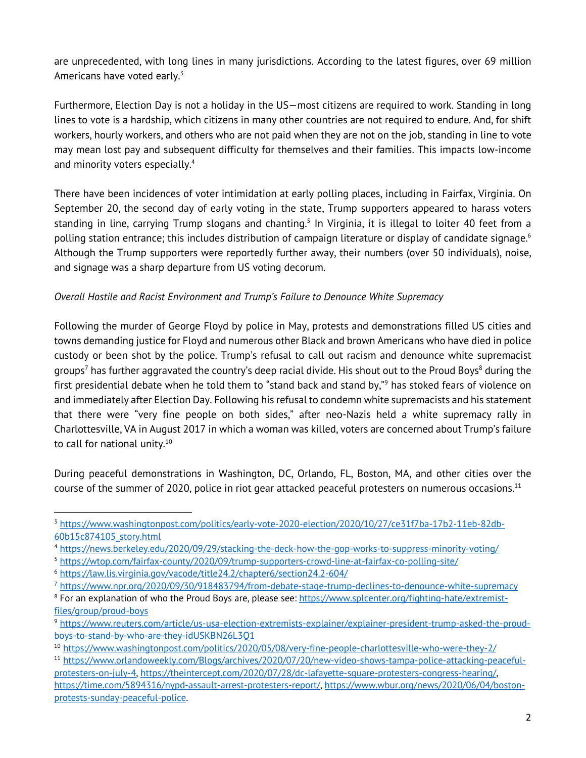are unprecedented, with long lines in many jurisdictions. According to the latest figures, over 69 million Americans have voted early.<sup>3</sup>

Furthermore, Election Day is not a holiday in the US—most citizens are required to work. Standing in long lines to vote is a hardship, which citizens in many other countries are not required to endure. And, for shift workers, hourly workers, and others who are not paid when they are not on the job, standing in line to vote may mean lost pay and subsequent difficulty for themselves and their families. This impacts low-income and minority voters especially.4

There have been incidences of voter intimidation at early polling places, including in Fairfax, Virginia. On September 20, the second day of early voting in the state, Trump supporters appeared to harass voters standing in line, carrying Trump slogans and chanting.<sup>5</sup> In Virginia, it is illegal to loiter 40 feet from a polling station entrance; this includes distribution of campaign literature or display of candidate signage. $^{\rm 6}$ Although the Trump supporters were reportedly further away, their numbers (over 50 individuals), noise, and signage was a sharp departure from US voting decorum.

## *Overall Hostile and Racist Environment and Trump's Failure to Denounce White Supremacy*

Following the murder of George Floyd by police in May, protests and demonstrations filled US cities and towns demanding justice for Floyd and numerous other Black and brown Americans who have died in police custody or been shot by the police. Trump's refusal to call out racism and denounce white supremacist groups<sup>7</sup> has further aggravated the country's deep racial divide. His shout out to the Proud Boys<sup>8</sup> during the first presidential debate when he told them to "stand back and stand by,"9 has stoked fears of violence on and immediately after Election Day. Following his refusal to condemn white supremacists and his statement that there were "very fine people on both sides," after neo-Nazis held a white supremacy rally in Charlottesville, VA in August 2017 in which a woman was killed, voters are concerned about Trump's failure to call for national unity.<sup>10</sup>

During peaceful demonstrations in Washington, DC, Orlando, FL, Boston, MA, and other cities over the course of the summer of 2020, police in riot gear attacked peaceful protesters on numerous occasions.<sup>11</sup>

<sup>3</sup> https://www.washingtonpost.com/politics/early-vote-2020-election/2020/10/27/ce31f7ba-17b2-11eb-82db-60b15c874105\_story.html

<sup>4</sup> https://news.berkeley.edu/2020/09/29/stacking-the-deck-how-the-gop-works-to-suppress-minority-voting/

<sup>5</sup> https://wtop.com/fairfax-county/2020/09/trump-supporters-crowd-line-at-fairfax-co-polling-site/

<sup>6</sup> https://law.lis.virginia.gov/vacode/title24.2/chapter6/section24.2-604/

<sup>7</sup> https://www.npr.org/2020/09/30/918483794/from-debate-stage-trump-declines-to-denounce-white-supremacy

<sup>8</sup> For an explanation of who the Proud Boys are, please see: https://www.splcenter.org/fighting-hate/extremistfiles/group/proud-boys

<sup>9</sup> https://www.reuters.com/article/us-usa-election-extremists-explainer/explainer-president-trump-asked-the-proudboys-to-stand-by-who-are-they-idUSKBN26L3Q1

<sup>10</sup> https://www.washingtonpost.com/politics/2020/05/08/very-fine-people-charlottesville-who-were-they-2/

<sup>11</sup> https://www.orlandoweekly.com/Blogs/archives/2020/07/20/new-video-shows-tampa-police-attacking-peacefulprotesters-on-july-4, https://theintercept.com/2020/07/28/dc-lafayette-square-protesters-congress-hearing/, https://time.com/5894316/nypd-assault-arrest-protesters-report/, https://www.wbur.org/news/2020/06/04/bostonprotests-sunday-peaceful-police.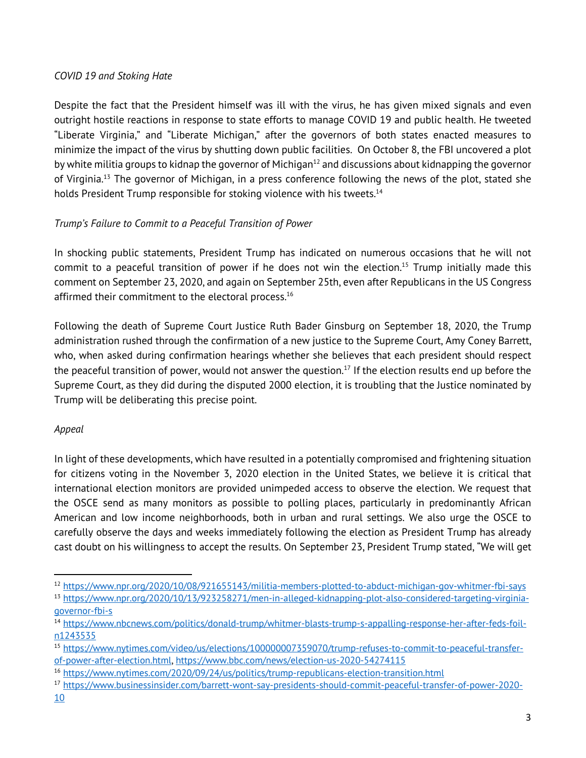### *COVID 19 and Stoking Hate*

Despite the fact that the President himself was ill with the virus, he has given mixed signals and even outright hostile reactions in response to state efforts to manage COVID 19 and public health. He tweeted "Liberate Virginia," and "Liberate Michigan," after the governors of both states enacted measures to minimize the impact of the virus by shutting down public facilities. On October 8, the FBI uncovered a plot by white militia groups to kidnap the governor of Michigan $12$  and discussions about kidnapping the governor of Virginia. <sup>13</sup> The governor of Michigan, in a press conference following the news of the plot, stated she holds President Trump responsible for stoking violence with his tweets.<sup>14</sup>

## *Trump's Failure to Commit to a Peaceful Transition of Power*

In shocking public statements, President Trump has indicated on numerous occasions that he will not commit to a peaceful transition of power if he does not win the election.<sup>15</sup> Trump initially made this comment on September 23, 2020, and again on September 25th, even after Republicans in the US Congress affirmed their commitment to the electoral process.<sup>16</sup>

Following the death of Supreme Court Justice Ruth Bader Ginsburg on September 18, 2020, the Trump administration rushed through the confirmation of a new justice to the Supreme Court, Amy Coney Barrett, who, when asked during confirmation hearings whether she believes that each president should respect the peaceful transition of power, would not answer the question.<sup>17</sup> If the election results end up before the Supreme Court, as they did during the disputed 2000 election, it is troubling that the Justice nominated by Trump will be deliberating this precise point.

## *Appeal*

In light of these developments, which have resulted in a potentially compromised and frightening situation for citizens voting in the November 3, 2020 election in the United States, we believe it is critical that international election monitors are provided unimpeded access to observe the election. We request that the OSCE send as many monitors as possible to polling places, particularly in predominantly African American and low income neighborhoods, both in urban and rural settings. We also urge the OSCE to carefully observe the days and weeks immediately following the election as President Trump has already cast doubt on his willingness to accept the results. On September 23, President Trump stated, "We will get

<sup>12</sup> https://www.npr.org/2020/10/08/921655143/militia-members-plotted-to-abduct-michigan-gov-whitmer-fbi-says <sup>13</sup> https://www.npr.org/2020/10/13/923258271/men-in-alleged-kidnapping-plot-also-considered-targeting-virginia-

governor-fbi-s

<sup>14</sup> https://www.nbcnews.com/politics/donald-trump/whitmer-blasts-trump-s-appalling-response-her-after-feds-foiln1243535

<sup>15</sup> https://www.nytimes.com/video/us/elections/100000007359070/trump-refuses-to-commit-to-peaceful-transferof-power-after-election.html, https://www.bbc.com/news/election-us-2020-54274115

<sup>16</sup> https://www.nytimes.com/2020/09/24/us/politics/trump-republicans-election-transition.html

<sup>17</sup> https://www.businessinsider.com/barrett-wont-say-presidents-should-commit-peaceful-transfer-of-power-2020-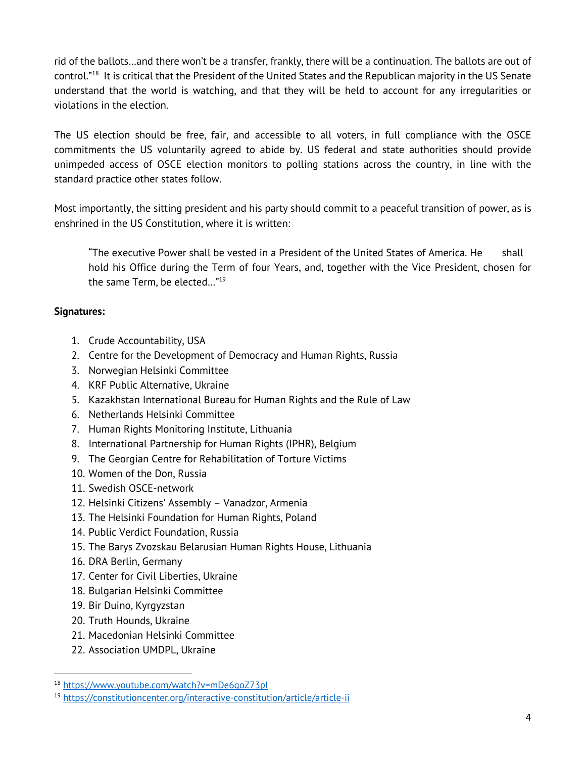rid of the ballots…and there won't be a transfer, frankly, there will be a continuation. The ballots are out of control."18 It is critical that the President of the United States and the Republican majority in the US Senate understand that the world is watching, and that they will be held to account for any irregularities or violations in the election.

The US election should be free, fair, and accessible to all voters, in full compliance with the OSCE commitments the US voluntarily agreed to abide by. US federal and state authorities should provide unimpeded access of OSCE election monitors to polling stations across the country, in line with the standard practice other states follow.

Most importantly, the sitting president and his party should commit to a peaceful transition of power, as is enshrined in the US Constitution, where it is written:

"The executive Power shall be vested in a President of the United States of America. He shall hold his Office during the Term of four Years, and, together with the Vice President, chosen for the same Term, be elected…"19

#### **Signatures:**

- 1. Crude Accountability, USA
- 2. Centre for the Development of Democracy and Human Rights, Russia
- 3. Norwegian Helsinki Committee
- 4. KRF Public Alternative, Ukraine
- 5. Kazakhstan International Bureau for Human Rights and the Rule of Law
- 6. Netherlands Helsinki Committee
- 7. Human Rights Monitoring Institute, Lithuania
- 8. International Partnership for Human Rights (IPHR), Belgium
- 9. The Georgian Centre for Rehabilitation of Torture Victims
- 10. Women of the Don, Russia
- 11. Swedish OSCE-network
- 12. Helsinki Citizens' Assembly Vanadzor, Armenia
- 13. The Helsinki Foundation for Human Rights, Poland
- 14. Public Verdict Foundation, Russia
- 15. The Barys Zvozskau Belarusian Human Rights House, Lithuania
- 16. DRA Berlin, Germany
- 17. Center for Civil Liberties, Ukraine
- 18. Bulgarian Helsinki Committee
- 19. Bir Duino, Kyrgyzstan
- 20. Truth Hounds, Ukraine
- 21. Macedonian Helsinki Committee
- 22. Association UMDPL, Ukraine

<sup>18</sup> https://www.youtube.com/watch?v=mDe6goZ73pI

<sup>19</sup> https://constitutioncenter.org/interactive-constitution/article/article-ii